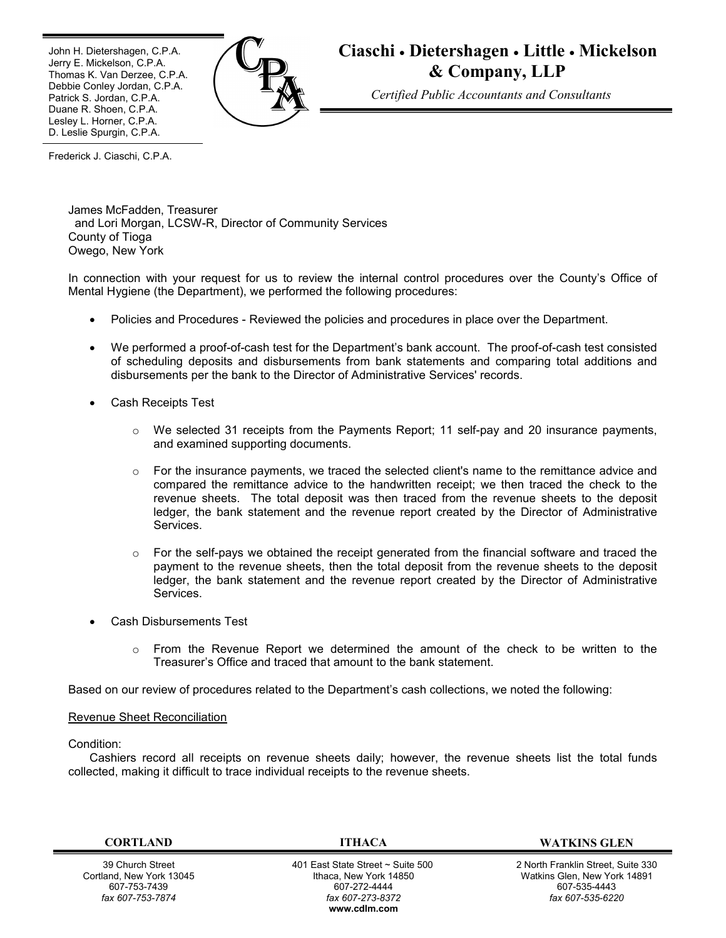Ī John H. Dietershagen, C.P.A. Jerry E. Mickelson, C.P.A. Thomas K. Van Derzee, C.P.A. Debbie Conley Jordan, C.P.A. Patrick S. Jordan, C.P.A. Duane R. Shoen, C.P.A. Lesley L. Horner, C.P.A. D. Leslie Spurgin, C.P.A.



# **Ciaschi Dietershagen Little Mickelson & Company, LLP**

*Certified Public Accountants and Consultants*

Frederick J. Ciaschi, C.P.A.

James McFadden, Treasurer and Lori Morgan, LCSW-R, Director of Community Services County of Tioga Owego, New York

In connection with your request for us to review the internal control procedures over the County's Office of Mental Hygiene (the Department), we performed the following procedures:

- Policies and Procedures Reviewed the policies and procedures in place over the Department.
- We performed a proof-of-cash test for the Department's bank account. The proof-of-cash test consisted of scheduling deposits and disbursements from bank statements and comparing total additions and disbursements per the bank to the Director of Administrative Services' records.
- Cash Receipts Test
	- o We selected 31 receipts from the Payments Report; 11 self-pay and 20 insurance payments, and examined supporting documents.
	- $\circ$  For the insurance payments, we traced the selected client's name to the remittance advice and compared the remittance advice to the handwritten receipt; we then traced the check to the revenue sheets. The total deposit was then traced from the revenue sheets to the deposit ledger, the bank statement and the revenue report created by the Director of Administrative Services.
	- $\circ$  For the self-pays we obtained the receipt generated from the financial software and traced the payment to the revenue sheets, then the total deposit from the revenue sheets to the deposit ledger, the bank statement and the revenue report created by the Director of Administrative Services.
- Cash Disbursements Test
	- $\circ$  From the Revenue Report we determined the amount of the check to be written to the Treasurer's Office and traced that amount to the bank statement.

Based on our review of procedures related to the Department's cash collections, we noted the following:

#### Revenue Sheet Reconciliation

#### Condition:

Cashiers record all receipts on revenue sheets daily; however, the revenue sheets list the total funds collected, making it difficult to trace individual receipts to the revenue sheets.

39 Church Street Cortland, New York 13045 607-753-7439 *fax 607-753-7874*

 401 East State Street ~ Suite 500 Ithaca, New York 14850 607-272-4444 *fax 607-273-8372* **www.cdlm.com**

**CORTLAND ITHACA WATKINS GLEN**